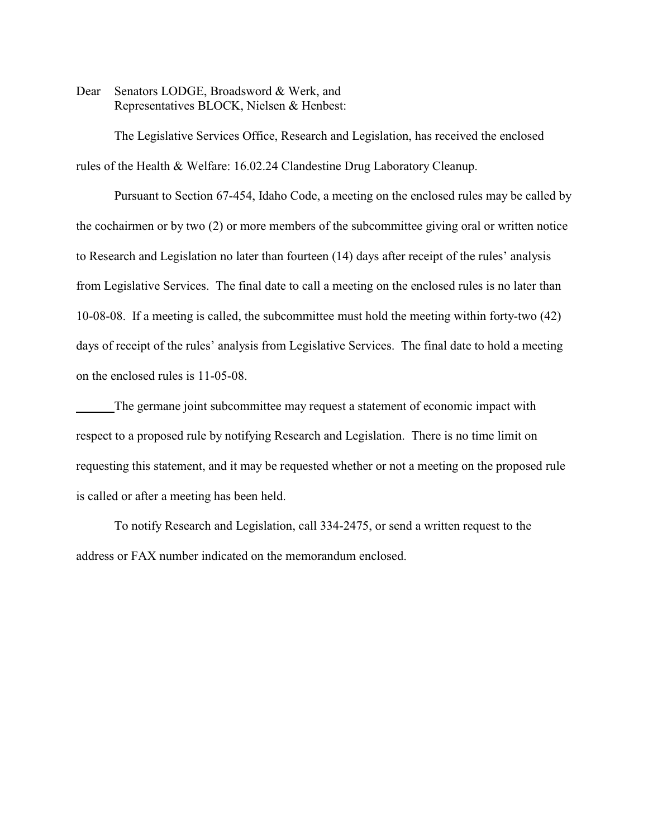Dear Senators LODGE, Broadsword & Werk, and Representatives BLOCK, Nielsen & Henbest:

The Legislative Services Office, Research and Legislation, has received the enclosed rules of the Health & Welfare: 16.02.24 Clandestine Drug Laboratory Cleanup.

Pursuant to Section 67-454, Idaho Code, a meeting on the enclosed rules may be called by the cochairmen or by two (2) or more members of the subcommittee giving oral or written notice to Research and Legislation no later than fourteen (14) days after receipt of the rules' analysis from Legislative Services. The final date to call a meeting on the enclosed rules is no later than 10-08-08. If a meeting is called, the subcommittee must hold the meeting within forty-two (42) days of receipt of the rules' analysis from Legislative Services. The final date to hold a meeting on the enclosed rules is 11-05-08.

The germane joint subcommittee may request a statement of economic impact with respect to a proposed rule by notifying Research and Legislation. There is no time limit on requesting this statement, and it may be requested whether or not a meeting on the proposed rule is called or after a meeting has been held.

To notify Research and Legislation, call 334-2475, or send a written request to the address or FAX number indicated on the memorandum enclosed.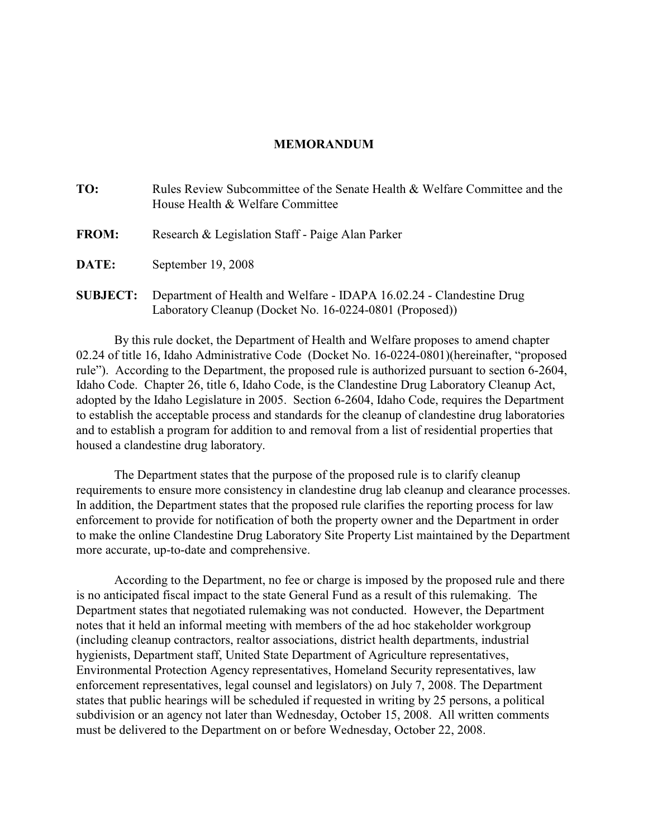# **MEMORANDUM**

| TO:             | Rules Review Subcommittee of the Senate Health & Welfare Committee and the<br>House Health & Welfare Committee |
|-----------------|----------------------------------------------------------------------------------------------------------------|
| <b>FROM:</b>    | Research & Legislation Staff - Paige Alan Parker                                                               |
| <b>DATE:</b>    | September 19, 2008                                                                                             |
| <b>SUBJECT:</b> | Department of Health and Welfare - IDAPA 16.02.24 - Clandestine Drug                                           |

Laboratory Cleanup (Docket No. 16-0224-0801 (Proposed))

By this rule docket, the Department of Health and Welfare proposes to amend chapter 02.24 of title 16, Idaho Administrative Code (Docket No. 16-0224-0801)(hereinafter, "proposed rule"). According to the Department, the proposed rule is authorized pursuant to section 6-2604, Idaho Code. Chapter 26, title 6, Idaho Code, is the Clandestine Drug Laboratory Cleanup Act, adopted by the Idaho Legislature in 2005. Section 6-2604, Idaho Code, requires the Department to establish the acceptable process and standards for the cleanup of clandestine drug laboratories and to establish a program for addition to and removal from a list of residential properties that housed a clandestine drug laboratory.

The Department states that the purpose of the proposed rule is to clarify cleanup requirements to ensure more consistency in clandestine drug lab cleanup and clearance processes. In addition, the Department states that the proposed rule clarifies the reporting process for law enforcement to provide for notification of both the property owner and the Department in order to make the online Clandestine Drug Laboratory Site Property List maintained by the Department more accurate, up-to-date and comprehensive.

According to the Department, no fee or charge is imposed by the proposed rule and there is no anticipated fiscal impact to the state General Fund as a result of this rulemaking. The Department states that negotiated rulemaking was not conducted. However, the Department notes that it held an informal meeting with members of the ad hoc stakeholder workgroup (including cleanup contractors, realtor associations, district health departments, industrial hygienists, Department staff, United State Department of Agriculture representatives, Environmental Protection Agency representatives, Homeland Security representatives, law enforcement representatives, legal counsel and legislators) on July 7, 2008. The Department states that public hearings will be scheduled if requested in writing by 25 persons, a political subdivision or an agency not later than Wednesday, October 15, 2008. All written comments must be delivered to the Department on or before Wednesday, October 22, 2008.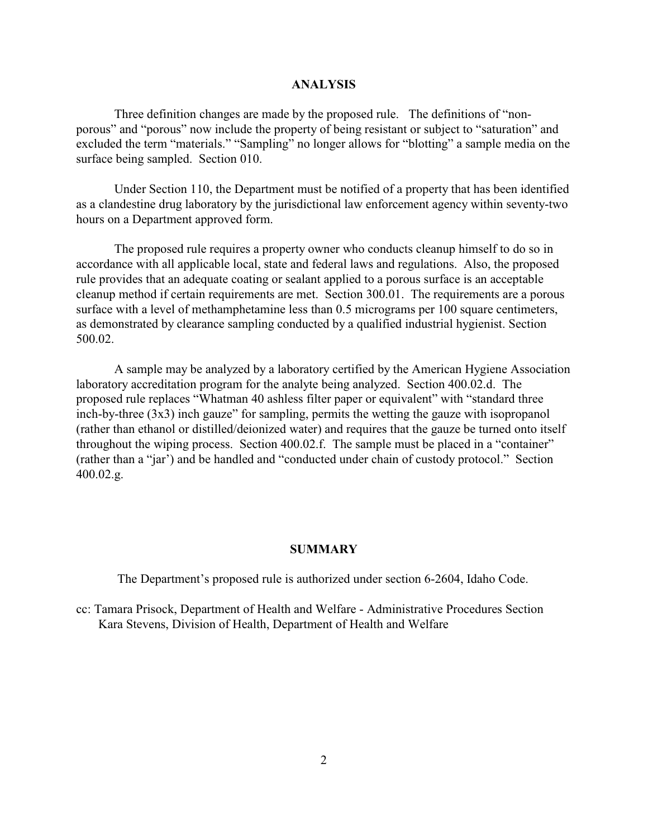# **ANALYSIS**

Three definition changes are made by the proposed rule. The definitions of "nonporous" and "porous" now include the property of being resistant or subject to "saturation" and excluded the term "materials." "Sampling" no longer allows for "blotting" a sample media on the surface being sampled. Section 010.

Under Section 110, the Department must be notified of a property that has been identified as a clandestine drug laboratory by the jurisdictional law enforcement agency within seventy-two hours on a Department approved form.

The proposed rule requires a property owner who conducts cleanup himself to do so in accordance with all applicable local, state and federal laws and regulations. Also, the proposed rule provides that an adequate coating or sealant applied to a porous surface is an acceptable cleanup method if certain requirements are met. Section 300.01. The requirements are a porous surface with a level of methamphetamine less than 0.5 micrograms per 100 square centimeters, as demonstrated by clearance sampling conducted by a qualified industrial hygienist. Section 500.02.

A sample may be analyzed by a laboratory certified by the American Hygiene Association laboratory accreditation program for the analyte being analyzed. Section 400.02.d. The proposed rule replaces "Whatman 40 ashless filter paper or equivalent" with "standard three inch-by-three  $(3x3)$  inch gauze" for sampling, permits the wetting the gauze with isopropanol (rather than ethanol or distilled/deionized water) and requires that the gauze be turned onto itself throughout the wiping process. Section 400.02.f. The sample must be placed in a "container" (rather than a "jar') and be handled and "conducted under chain of custody protocol." Section 400.02.g.

## **SUMMARY**

The Department's proposed rule is authorized under section 6-2604, Idaho Code.

cc: Tamara Prisock, Department of Health and Welfare - Administrative Procedures Section Kara Stevens, Division of Health, Department of Health and Welfare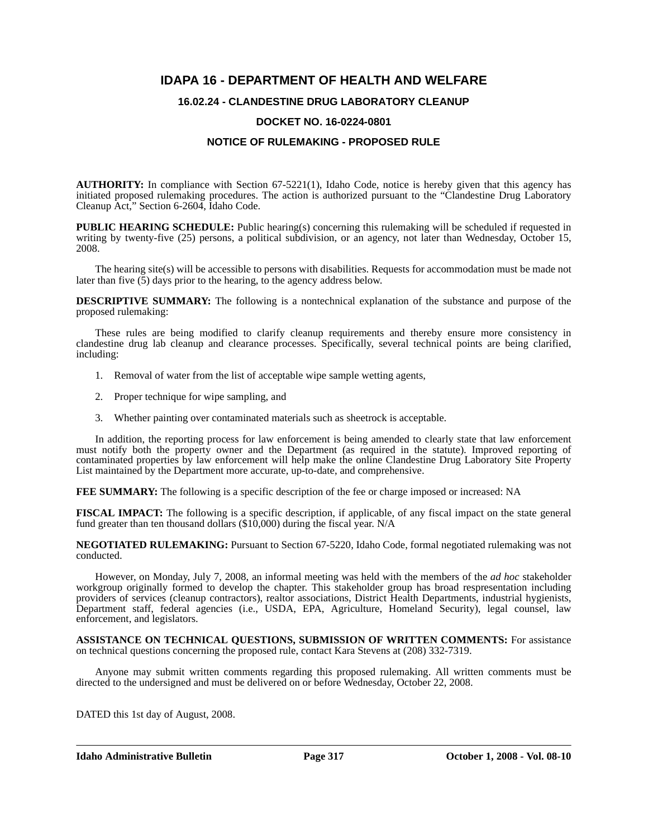# **IDAPA 16 - DEPARTMENT OF HEALTH AND WELFARE**

### **16.02.24 - CLANDESTINE DRUG LABORATORY CLEANUP**

### **DOCKET NO. 16-0224-0801**

## **NOTICE OF RULEMAKING - PROPOSED RULE**

**AUTHORITY:** In compliance with Section 67-5221(1), Idaho Code, notice is hereby given that this agency has initiated proposed rulemaking procedures. The action is authorized pursuant to the "Clandestine Drug Laboratory Cleanup Act," Section 6-2604, Idaho Code.

**PUBLIC HEARING SCHEDULE:** Public hearing(s) concerning this rulemaking will be scheduled if requested in writing by twenty-five (25) persons, a political subdivision, or an agency, not later than Wednesday, October 15, 2008.

The hearing site(s) will be accessible to persons with disabilities. Requests for accommodation must be made not later than five (5) days prior to the hearing, to the agency address below.

**DESCRIPTIVE SUMMARY:** The following is a nontechnical explanation of the substance and purpose of the proposed rulemaking:

These rules are being modified to clarify cleanup requirements and thereby ensure more consistency in clandestine drug lab cleanup and clearance processes. Specifically, several technical points are being clarified, including:

- 1. Removal of water from the list of acceptable wipe sample wetting agents,
- 2. Proper technique for wipe sampling, and
- 3. Whether painting over contaminated materials such as sheetrock is acceptable.

In addition, the reporting process for law enforcement is being amended to clearly state that law enforcement must notify both the property owner and the Department (as required in the statute). Improved reporting of contaminated properties by law enforcement will help make the online Clandestine Drug Laboratory Site Property List maintained by the Department more accurate, up-to-date, and comprehensive.

**FEE SUMMARY:** The following is a specific description of the fee or charge imposed or increased: NA

**FISCAL IMPACT:** The following is a specific description, if applicable, of any fiscal impact on the state general fund greater than ten thousand dollars  $(\$10,000)$  during the fiscal year. N/A

**NEGOTIATED RULEMAKING:** Pursuant to Section 67-5220, Idaho Code, formal negotiated rulemaking was not conducted.

However, on Monday, July 7, 2008, an informal meeting was held with the members of the *ad hoc* stakeholder workgroup originally formed to develop the chapter. This stakeholder group has broad respresentation including providers of services (cleanup contractors), realtor associations, District Health Departments, industrial hygienists, Department staff, federal agencies (i.e., USDA, EPA, Agriculture, Homeland Security), legal counsel, law enforcement, and legislators.

**ASSISTANCE ON TECHNICAL QUESTIONS, SUBMISSION OF WRITTEN COMMENTS:** For assistance on technical questions concerning the proposed rule, contact Kara Stevens at (208) 332-7319.

Anyone may submit written comments regarding this proposed rulemaking. All written comments must be directed to the undersigned and must be delivered on or before Wednesday, October 22, 2008.

DATED this 1st day of August, 2008.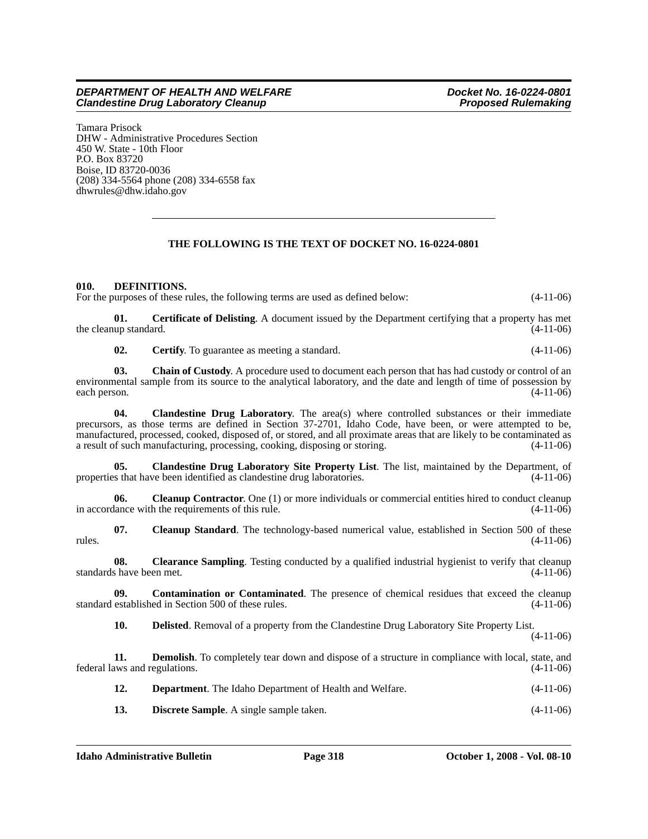Tamara Prisock DHW - Administrative Procedures Section 450 W. State - 10th Floor P.O. Box 83720 Boise, ID 83720-0036 (208) 334-5564 phone (208) 334-6558 fax <dhwrules@dhw.idaho.gov>

# **THE FOLLOWING IS THE TEXT OF DOCKET NO. 16-0224-0801**

### **010. DEFINITIONS.**

For the purposes of these rules, the following terms are used as defined below:  $(4-11-06)$ 

**01. Certificate of Delisting**. A document issued by the Department certifying that a property has met the cleanup standard. (4-11-06)

**02. Certify**. To guarantee as meeting a standard. (4-11-06)

**03. Chain of Custody**. A procedure used to document each person that has had custody or control of an environmental sample from its source to the analytical laboratory, and the date and length of time of possession by each person.  $(4-11-06)$ each person. (4-11-06)

**04. Clandestine Drug Laboratory**. The area(s) where controlled substances or their immediate precursors, as those terms are defined in Section 37-2701, Idaho Code, have been, or were attempted to be, manufactured, processed, cooked, disposed of, or stored, and all proximate areas that are likely to be contaminated as a result of such manufacturing, processing, cooking, disposing or storing. a result of such manufacturing, processing, cooking, disposing or storing.

**05. Clandestine Drug Laboratory Site Property List**. The list, maintained by the Department, of properties that have been identified as clandestine drug laboratories. (4-11-06)

**06.** Cleanup Contractor. One (1) or more individuals or commercial entities hired to conduct cleanup in accordance with the requirements of this rule. (4-11-06)

**07.** Cleanup Standard. The technology-based numerical value, established in Section 500 of these (4-11-06) rules.  $(4-11-06)$ 

**08.** Clearance Sampling. Testing conducted by a qualified industrial hygienist to verify that cleanup standards have been met. (4-11-06)

**09.** Contamination or Contaminated. The presence of chemical residues that exceed the cleanup established in Section 500 of these rules. (4-11-06) standard established in Section 500 of these rules.

**10. Delisted**. Removal of a property from the Clandestine Drug Laboratory Site Property List.

(4-11-06)

**11. Demolish**. To completely tear down and dispose of a structure in compliance with local, state, and federal laws and regulations. (4-11-06)

**12. Department**. The Idaho Department of Health and Welfare. (4-11-06)

**13. Discrete Sample**. A single sample taken. (4-11-06)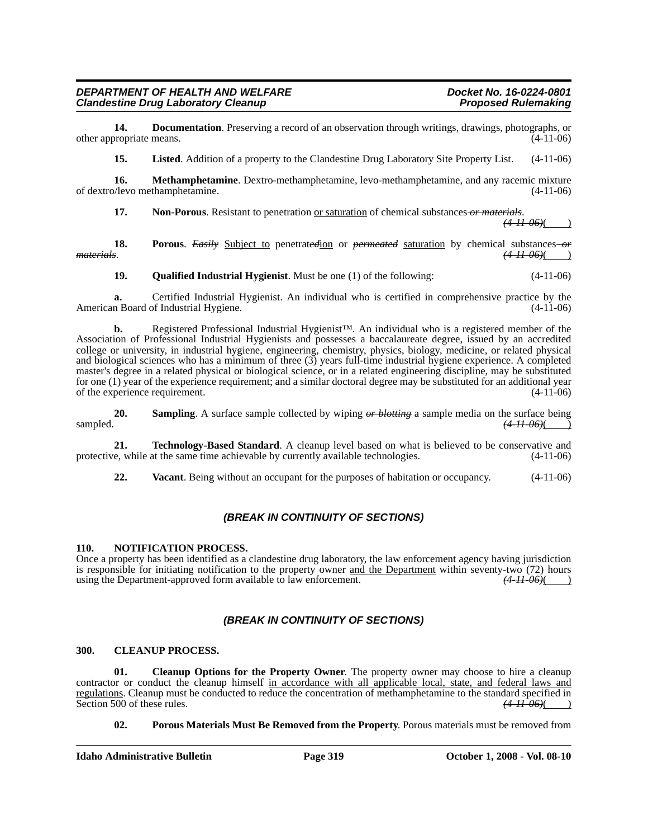**14. Documentation**. Preserving a record of an observation through writings, drawings, photographs, or originate means. (4-11-06) other appropriate means.

**15. Listed**. Addition of a property to the Clandestine Drug Laboratory Site Property List. (4-11-06)

**16. Methamphetamine**. Dextro-methamphetamine, levo-methamphetamine, and any racemic mixture  $\sqrt{2}$  (4-11-06) of dextro/levo methamphetamine.

**17. Non-Porous**. Resistant to penetration <u>or saturation</u> of chemical substances or materials.  $(4-11-06)$ 

**18.** Porous. *Easily* Subject to penetrated on *permeated* saturation by chemical substances or *materials*. (4-11-06)( *materials*. *(4-11-06)*( )

**19. Qualified Industrial Hygienist**. Must be one (1) of the following: (4-11-06)

**a.** Certified Industrial Hygienist. An individual who is certified in comprehensive practice by the American Board of Industrial Hygiene. (4-11-06)

**b.** Registered Professional Industrial Hygienist™. An individual who is a registered member of the Association of Professional Industrial Hygienists and possesses a baccalaureate degree, issued by an accredited college or university, in industrial hygiene, engineering, chemistry, physics, biology, medicine, or related physical and biological sciences who has a minimum of three (3) years full-time industrial hygiene experience. A completed master's degree in a related physical or biological science, or in a related engineering discipline, may be substituted for one (1) year of the experience requirement; and a similar doctoral degree may be substituted for an additional year of the experience requirement. (4-11-06)

**20. 20. Sampling**. A surface sample collected by wiping  $\theta r$  blotting a sample media on the surface being sampled.  $(4H\theta\theta)(\theta)$ sampled. **(4-11-06)**( )

**21. Technology-Based Standard**. A cleanup level based on what is believed to be conservative and protective, while at the same time achievable by currently available technologies. (4-11-06)

**22. Vacant**. Being without an occupant for the purposes of habitation or occupancy. (4-11-06)

### *(BREAK IN CONTINUITY OF SECTIONS)*

#### **110. NOTIFICATION PROCESS.**

Once a property has been identified as a clandestine drug laboratory, the law enforcement agency having jurisdiction is responsible for initiating notification to the property owner <u>and the Department</u> within seventy-two (72) hours using the Department-approved form available to law enforcement.  $(4H\ 06)(\ )$ using the Department-approved form available to law enforcement.

### *(BREAK IN CONTINUITY OF SECTIONS)*

#### **300. CLEANUP PROCESS.**

**01. Cleanup Options for the Property Owner**. The property owner may choose to hire a cleanup contractor or conduct the cleanup himself in accordance with all applicable local, state, and federal laws and <u>regulations</u>. Cleanup must be conducted to reduce the concentration of methamphetamine to the standard specified in Section 500 of these rules.  $(4 \text{ } H \text{ } 96)$ Section 500 of these rules.

**02. Porous Materials Must Be Removed from the Property**. Porous materials must be removed from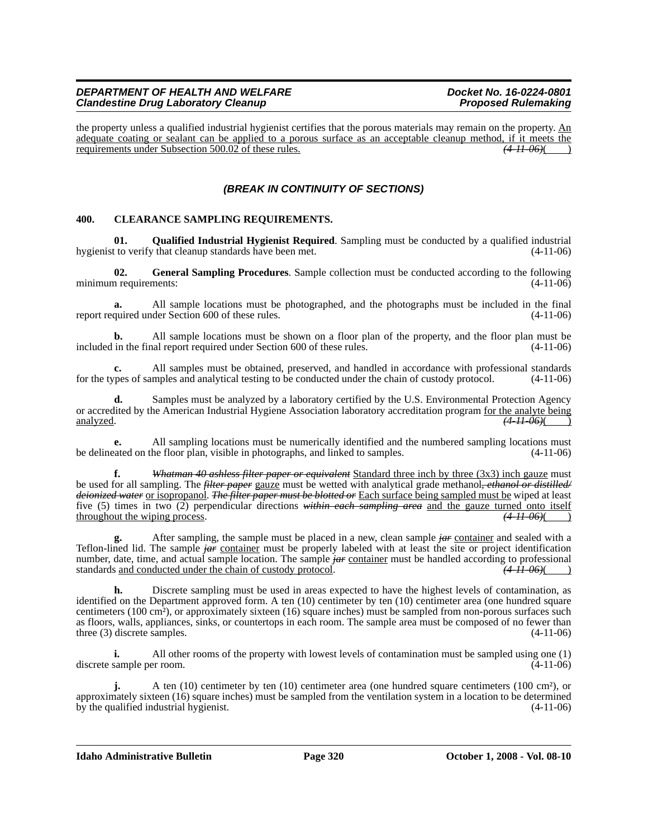#### *DEPARTMENT OF HEALTH AND WELFARE Department Docket No. 16-0224-0801*<br>Clandestine Drug Laboratory Cleanup *Docket Proposed Rulemaking Clandestine Drug Laboratory Cleanup*

the property unless a qualified industrial hygienist certifies that the porous materials may remain on the property.  $\underline{An}$ adequate coating or sealant can be applied to a porous surface as an acceptable cleanup method, if it meets the requirements under Subsection 500.02 of these rules. *(4-11-06)*( )

# *(BREAK IN CONTINUITY OF SECTIONS)*

#### **400. CLEARANCE SAMPLING REQUIREMENTS.**

**01. Qualified Industrial Hygienist Required**. Sampling must be conducted by a qualified industrial hygienist to verify that cleanup standards have been met. (4-11-06)

**02. General Sampling Procedures**. Sample collection must be conducted according to the following minimum requirements: (4-11-06)

**a.** All sample locations must be photographed, and the photographs must be included in the final report required under Section 600 of these rules. (4-11-06)

**b.** All sample locations must be shown on a floor plan of the property, and the floor plan must be included in the final report required under Section 600 of these rules. (4-11-06)

**c.** All samples must be obtained, preserved, and handled in accordance with professional standards for the types of samples and analytical testing to be conducted under the chain of custody protocol. (4-11-06)

Samples must be analyzed by a laboratory certified by the U.S. Environmental Protection Agency or accredited by the American Industrial Hygiene Association laboratory accreditation program for the analyte being analyzed. *(4-11-06)*( )

**e.** All sampling locations must be numerically identified and the numbered sampling locations must be delineated on the floor plan, visible in photographs, and linked to samples. (4-11-06)

**f.** *Whatman 40 ashless filter paper or equivalent* Standard three inch by three (3x3) inch gauze must be used for all sampling. The *filter paper* gauze must be wetted with analytical grade methanol*, ethanol or distilled/ deionized water* or isopropanol. *The filter paper must be blotted or* Each surface being sampled must be wiped at least five (5) times in two (2) perpendicular directions *within each sampling area* and the gauze turned onto itself throughout the wiping process.  $(4 \text{ H } 06)$ 

**g.** After sampling, the sample must be placed in a new, clean sample *jar* container and sealed with a Teflon-lined lid. The sample *jar* container must be properly labeled with at least the site or project identification number, date, time, and actual sample location. The sample *jar* container must be handled according to professional standards and conducted under the chain of custody protocol.  $\left(4\right)$ standards and conducted under the chain of custody protocol.

**h.** Discrete sampling must be used in areas expected to have the highest levels of contamination, as identified on the Department approved form. A ten (10) centimeter by ten (10) centimeter area (one hundred square centimeters (100 cm²), or approximately sixteen (16) square inches) must be sampled from non-porous surfaces such as floors, walls, appliances, sinks, or countertops in each room. The sample area must be composed of no fewer than three  $(3)$  discrete samples.  $(4-11-06)$ 

**i.** All other rooms of the property with lowest levels of contamination must be sampled using one (1) discrete sample per room. (4-11-06)

**j.** A ten (10) centimeter by ten (10) centimeter area (one hundred square centimeters (100 cm²), or approximately sixteen (16) square inches) must be sampled from the ventilation system in a location to be determined by the qualified industrial hygienist. (4-11-06)